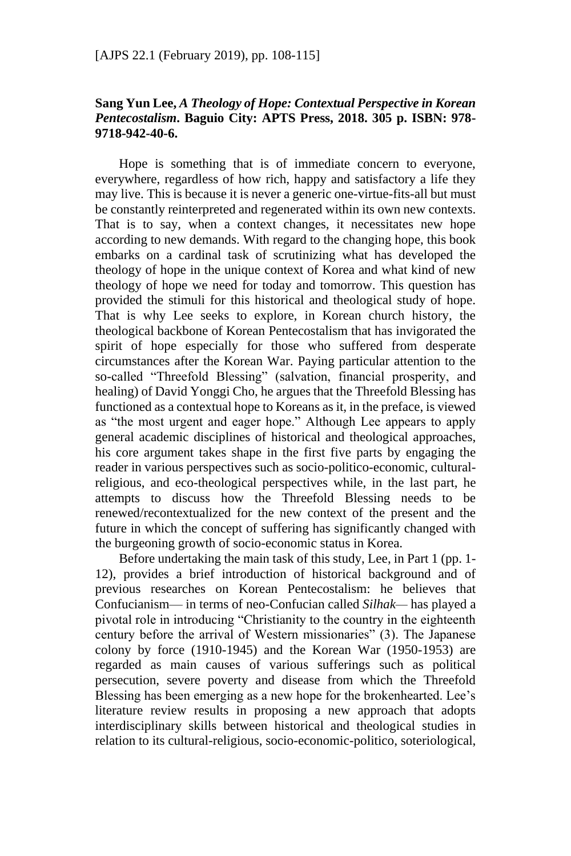## **Sang Yun Lee,** *A Theology of Hope: Contextual Perspective in Korean Pentecostalism***. Baguio City: APTS Press, 2018. 305 p. ISBN: 978- 9718-942-40-6.**

Hope is something that is of immediate concern to everyone, everywhere, regardless of how rich, happy and satisfactory a life they may live. This is because it is never a generic one-virtue-fits-all but must be constantly reinterpreted and regenerated within its own new contexts. That is to say, when a context changes, it necessitates new hope according to new demands. With regard to the changing hope, this book embarks on a cardinal task of scrutinizing what has developed the theology of hope in the unique context of Korea and what kind of new theology of hope we need for today and tomorrow. This question has provided the stimuli for this historical and theological study of hope. That is why Lee seeks to explore, in Korean church history, the theological backbone of Korean Pentecostalism that has invigorated the spirit of hope especially for those who suffered from desperate circumstances after the Korean War. Paying particular attention to the so-called "Threefold Blessing" (salvation, financial prosperity, and healing) of David Yonggi Cho, he argues that the Threefold Blessing has functioned as a contextual hope to Koreans as it, in the preface, is viewed as "the most urgent and eager hope." Although Lee appears to apply general academic disciplines of historical and theological approaches, his core argument takes shape in the first five parts by engaging the reader in various perspectives such as socio-politico-economic, culturalreligious, and eco-theological perspectives while, in the last part, he attempts to discuss how the Threefold Blessing needs to be renewed/recontextualized for the new context of the present and the future in which the concept of suffering has significantly changed with the burgeoning growth of socio-economic status in Korea.

Before undertaking the main task of this study, Lee, in Part 1 (pp. 1- 12), provides a brief introduction of historical background and of previous researches on Korean Pentecostalism: he believes that Confucianism— in terms of neo-Confucian called *Silhak—* has played a pivotal role in introducing "Christianity to the country in the eighteenth century before the arrival of Western missionaries" (3). The Japanese colony by force (1910-1945) and the Korean War (1950-1953) are regarded as main causes of various sufferings such as political persecution, severe poverty and disease from which the Threefold Blessing has been emerging as a new hope for the brokenhearted. Lee's literature review results in proposing a new approach that adopts interdisciplinary skills between historical and theological studies in relation to its cultural-religious, socio-economic-politico, soteriological,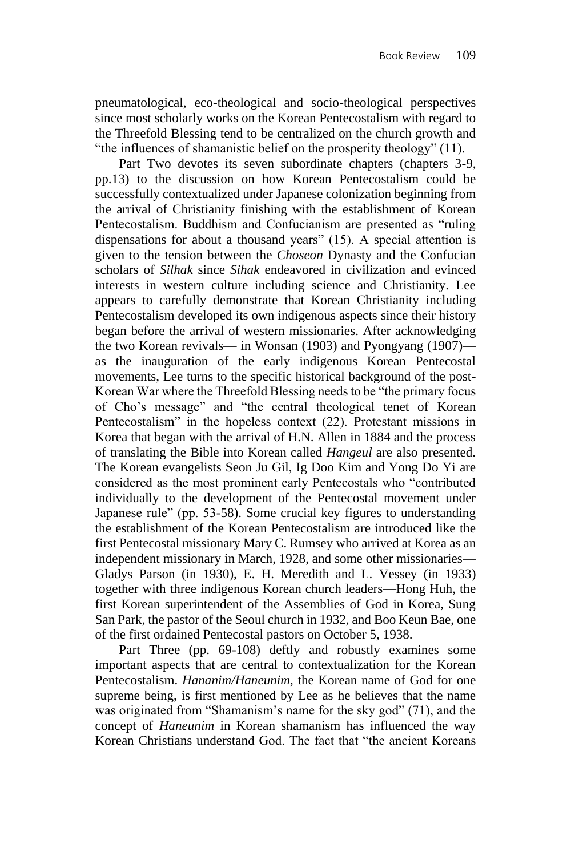pneumatological, eco-theological and socio-theological perspectives since most scholarly works on the Korean Pentecostalism with regard to the Threefold Blessing tend to be centralized on the church growth and "the influences of shamanistic belief on the prosperity theology" (11).

Part Two devotes its seven subordinate chapters (chapters 3-9, pp.13) to the discussion on how Korean Pentecostalism could be successfully contextualized under Japanese colonization beginning from the arrival of Christianity finishing with the establishment of Korean Pentecostalism. Buddhism and Confucianism are presented as "ruling dispensations for about a thousand years" (15). A special attention is given to the tension between the *Choseon* Dynasty and the Confucian scholars of *Silhak* since *Sihak* endeavored in civilization and evinced interests in western culture including science and Christianity. Lee appears to carefully demonstrate that Korean Christianity including Pentecostalism developed its own indigenous aspects since their history began before the arrival of western missionaries. After acknowledging the two Korean revivals— in Wonsan (1903) and Pyongyang (1907) as the inauguration of the early indigenous Korean Pentecostal movements, Lee turns to the specific historical background of the post-Korean War where the Threefold Blessing needs to be "the primary focus of Cho's message" and "the central theological tenet of Korean Pentecostalism" in the hopeless context (22). Protestant missions in Korea that began with the arrival of H.N. Allen in 1884 and the process of translating the Bible into Korean called *Hangeul* are also presented. The Korean evangelists Seon Ju Gil, Ig Doo Kim and Yong Do Yi are considered as the most prominent early Pentecostals who "contributed individually to the development of the Pentecostal movement under Japanese rule" (pp. 53-58). Some crucial key figures to understanding the establishment of the Korean Pentecostalism are introduced like the first Pentecostal missionary Mary C. Rumsey who arrived at Korea as an independent missionary in March, 1928, and some other missionaries— Gladys Parson (in 1930), E. H. Meredith and L. Vessey (in 1933) together with three indigenous Korean church leaders—Hong Huh, the first Korean superintendent of the Assemblies of God in Korea, Sung San Park, the pastor of the Seoul church in 1932, and Boo Keun Bae, one of the first ordained Pentecostal pastors on October 5, 1938.

Part Three (pp. 69-108) deftly and robustly examines some important aspects that are central to contextualization for the Korean Pentecostalism. *Hananim/Haneunim*, the Korean name of God for one supreme being, is first mentioned by Lee as he believes that the name was originated from "Shamanism's name for the sky god" (71), and the concept of *Haneunim* in Korean shamanism has influenced the way Korean Christians understand God. The fact that "the ancient Koreans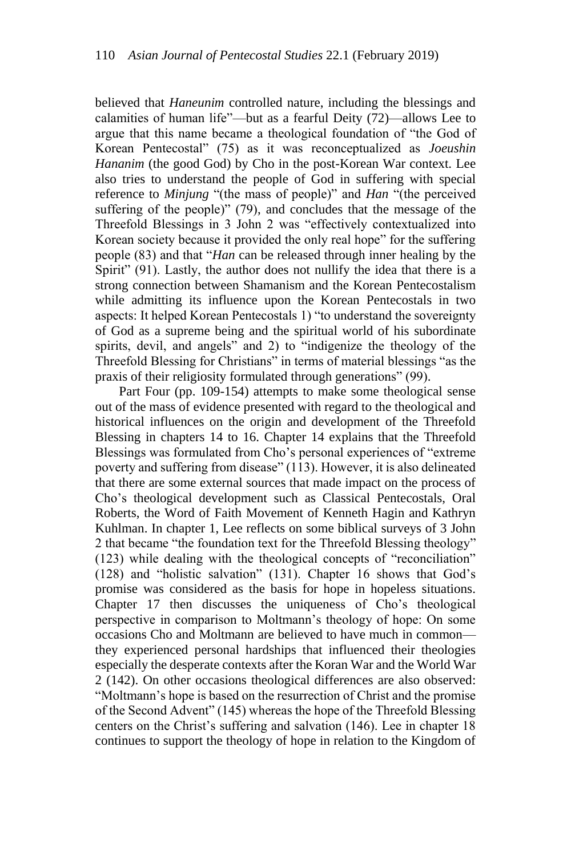believed that *Haneunim* controlled nature, including the blessings and calamities of human life"—but as a fearful Deity (72)—allows Lee to argue that this name became a theological foundation of "the God of Korean Pentecostal" (75) as it was reconceptualized as *Joeushin Hananim* (the good God) by Cho in the post-Korean War context. Lee also tries to understand the people of God in suffering with special reference to *Minjung* "(the mass of people)" and *Han* "(the perceived suffering of the people)" (79), and concludes that the message of the Threefold Blessings in 3 John 2 was "effectively contextualized into Korean society because it provided the only real hope" for the suffering people (83) and that "*Han* can be released through inner healing by the Spirit" (91). Lastly, the author does not nullify the idea that there is a strong connection between Shamanism and the Korean Pentecostalism while admitting its influence upon the Korean Pentecostals in two aspects: It helped Korean Pentecostals 1) "to understand the sovereignty of God as a supreme being and the spiritual world of his subordinate spirits, devil, and angels" and 2) to "indigenize the theology of the Threefold Blessing for Christians" in terms of material blessings "as the praxis of their religiosity formulated through generations" (99).

Part Four (pp. 109-154) attempts to make some theological sense out of the mass of evidence presented with regard to the theological and historical influences on the origin and development of the Threefold Blessing in chapters 14 to 16. Chapter 14 explains that the Threefold Blessings was formulated from Cho's personal experiences of "extreme poverty and suffering from disease" (113). However, it is also delineated that there are some external sources that made impact on the process of Cho's theological development such as Classical Pentecostals, Oral Roberts, the Word of Faith Movement of Kenneth Hagin and Kathryn Kuhlman. In chapter 1, Lee reflects on some biblical surveys of 3 John 2 that became "the foundation text for the Threefold Blessing theology" (123) while dealing with the theological concepts of "reconciliation" (128) and "holistic salvation" (131). Chapter 16 shows that God's promise was considered as the basis for hope in hopeless situations. Chapter 17 then discusses the uniqueness of Cho's theological perspective in comparison to Moltmann's theology of hope: On some occasions Cho and Moltmann are believed to have much in common they experienced personal hardships that influenced their theologies especially the desperate contexts after the Koran War and the World War 2 (142). On other occasions theological differences are also observed: "Moltmann's hope is based on the resurrection of Christ and the promise of the Second Advent" (145) whereas the hope of the Threefold Blessing centers on the Christ's suffering and salvation (146). Lee in chapter 18 continues to support the theology of hope in relation to the Kingdom of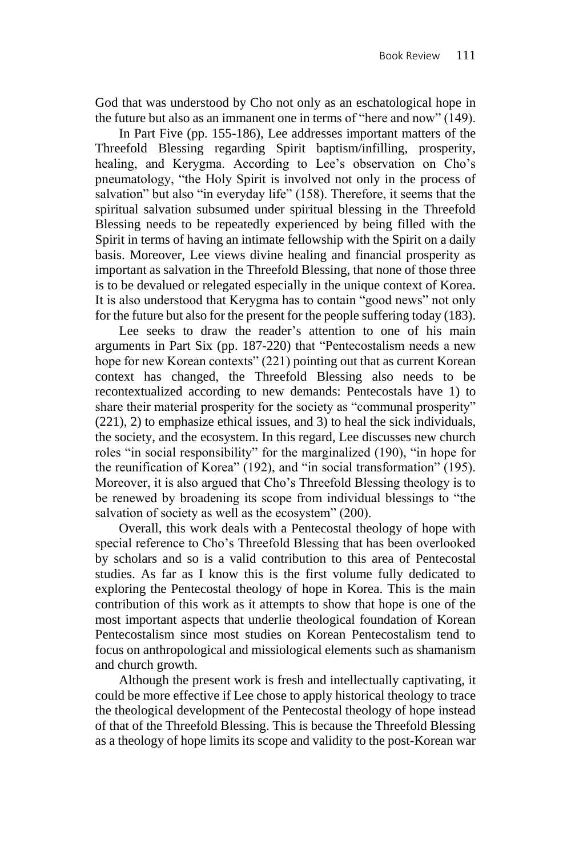God that was understood by Cho not only as an eschatological hope in the future but also as an immanent one in terms of "here and now" (149).

In Part Five (pp. 155-186), Lee addresses important matters of the Threefold Blessing regarding Spirit baptism/infilling, prosperity, healing, and Kerygma. According to Lee's observation on Cho's pneumatology, "the Holy Spirit is involved not only in the process of salvation" but also "in everyday life" (158). Therefore, it seems that the spiritual salvation subsumed under spiritual blessing in the Threefold Blessing needs to be repeatedly experienced by being filled with the Spirit in terms of having an intimate fellowship with the Spirit on a daily basis. Moreover, Lee views divine healing and financial prosperity as important as salvation in the Threefold Blessing, that none of those three is to be devalued or relegated especially in the unique context of Korea. It is also understood that Kerygma has to contain "good news" not only for the future but also for the present for the people suffering today (183).

Lee seeks to draw the reader's attention to one of his main arguments in Part Six (pp. 187-220) that "Pentecostalism needs a new hope for new Korean contexts" (221) pointing out that as current Korean context has changed, the Threefold Blessing also needs to be recontextualized according to new demands: Pentecostals have 1) to share their material prosperity for the society as "communal prosperity" (221), 2) to emphasize ethical issues, and 3) to heal the sick individuals, the society, and the ecosystem. In this regard, Lee discusses new church roles "in social responsibility" for the marginalized (190), "in hope for the reunification of Korea" (192), and "in social transformation" (195). Moreover, it is also argued that Cho's Threefold Blessing theology is to be renewed by broadening its scope from individual blessings to "the salvation of society as well as the ecosystem" (200).

Overall, this work deals with a Pentecostal theology of hope with special reference to Cho's Threefold Blessing that has been overlooked by scholars and so is a valid contribution to this area of Pentecostal studies. As far as I know this is the first volume fully dedicated to exploring the Pentecostal theology of hope in Korea. This is the main contribution of this work as it attempts to show that hope is one of the most important aspects that underlie theological foundation of Korean Pentecostalism since most studies on Korean Pentecostalism tend to focus on anthropological and missiological elements such as shamanism and church growth.

Although the present work is fresh and intellectually captivating, it could be more effective if Lee chose to apply historical theology to trace the theological development of the Pentecostal theology of hope instead of that of the Threefold Blessing. This is because the Threefold Blessing as a theology of hope limits its scope and validity to the post-Korean war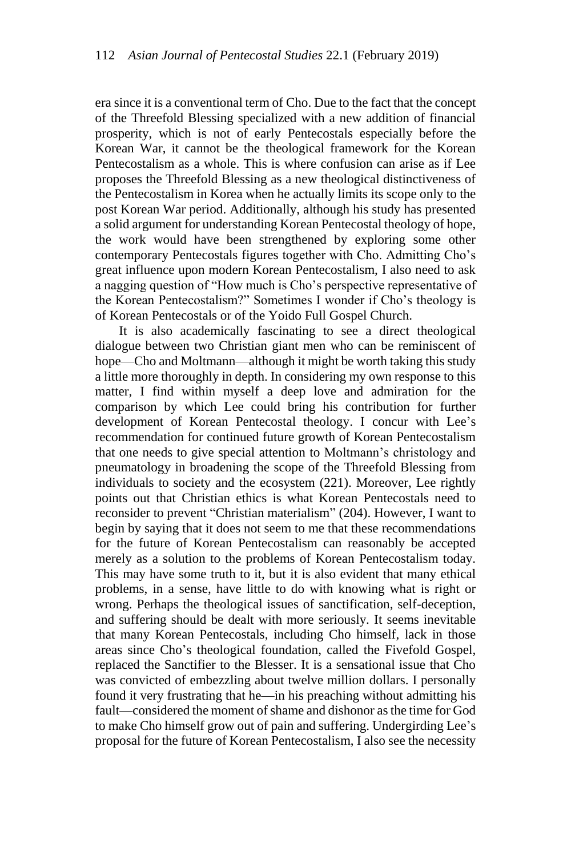era since it is a conventional term of Cho. Due to the fact that the concept of the Threefold Blessing specialized with a new addition of financial prosperity, which is not of early Pentecostals especially before the Korean War, it cannot be the theological framework for the Korean Pentecostalism as a whole. This is where confusion can arise as if Lee proposes the Threefold Blessing as a new theological distinctiveness of the Pentecostalism in Korea when he actually limits its scope only to the post Korean War period. Additionally, although his study has presented a solid argument for understanding Korean Pentecostal theology of hope, the work would have been strengthened by exploring some other contemporary Pentecostals figures together with Cho. Admitting Cho's great influence upon modern Korean Pentecostalism, I also need to ask a nagging question of "How much is Cho's perspective representative of the Korean Pentecostalism?" Sometimes I wonder if Cho's theology is of Korean Pentecostals or of the Yoido Full Gospel Church.

It is also academically fascinating to see a direct theological dialogue between two Christian giant men who can be reminiscent of hope—Cho and Moltmann—although it might be worth taking this study a little more thoroughly in depth. In considering my own response to this matter, I find within myself a deep love and admiration for the comparison by which Lee could bring his contribution for further development of Korean Pentecostal theology. I concur with Lee's recommendation for continued future growth of Korean Pentecostalism that one needs to give special attention to Moltmann's christology and pneumatology in broadening the scope of the Threefold Blessing from individuals to society and the ecosystem (221). Moreover, Lee rightly points out that Christian ethics is what Korean Pentecostals need to reconsider to prevent "Christian materialism" (204). However, I want to begin by saying that it does not seem to me that these recommendations for the future of Korean Pentecostalism can reasonably be accepted merely as a solution to the problems of Korean Pentecostalism today. This may have some truth to it, but it is also evident that many ethical problems, in a sense, have little to do with knowing what is right or wrong. Perhaps the theological issues of sanctification, self-deception, and suffering should be dealt with more seriously. It seems inevitable that many Korean Pentecostals, including Cho himself, lack in those areas since Cho's theological foundation, called the Fivefold Gospel, replaced the Sanctifier to the Blesser. It is a sensational issue that Cho was convicted of embezzling about twelve million dollars. I personally found it very frustrating that he—in his preaching without admitting his fault—considered the moment of shame and dishonor as the time for God to make Cho himself grow out of pain and suffering. Undergirding Lee's proposal for the future of Korean Pentecostalism, I also see the necessity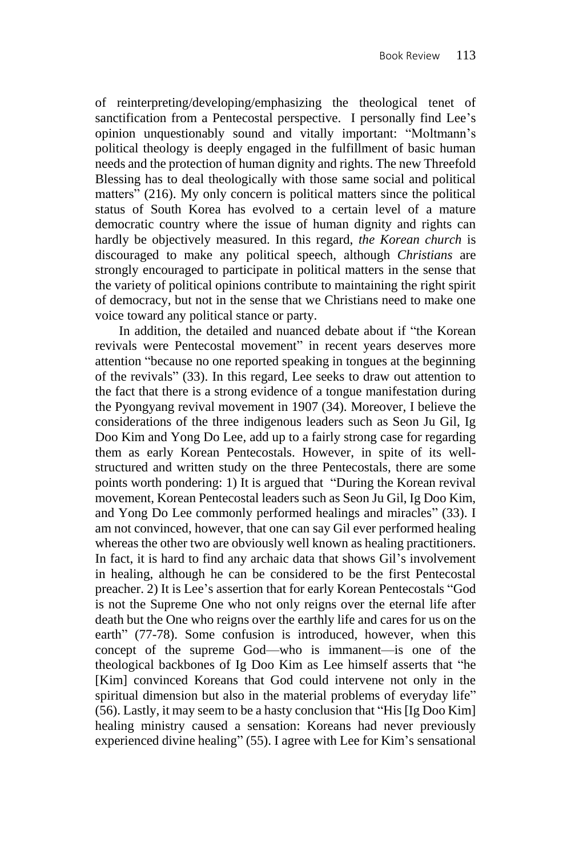of reinterpreting/developing/emphasizing the theological tenet of sanctification from a Pentecostal perspective. I personally find Lee's opinion unquestionably sound and vitally important: "Moltmann's political theology is deeply engaged in the fulfillment of basic human needs and the protection of human dignity and rights. The new Threefold Blessing has to deal theologically with those same social and political matters" (216). My only concern is political matters since the political status of South Korea has evolved to a certain level of a mature democratic country where the issue of human dignity and rights can hardly be objectively measured. In this regard, *the Korean church* is discouraged to make any political speech, although *Christians* are strongly encouraged to participate in political matters in the sense that the variety of political opinions contribute to maintaining the right spirit of democracy, but not in the sense that we Christians need to make one voice toward any political stance or party.

In addition, the detailed and nuanced debate about if "the Korean revivals were Pentecostal movement" in recent years deserves more attention "because no one reported speaking in tongues at the beginning of the revivals" (33). In this regard, Lee seeks to draw out attention to the fact that there is a strong evidence of a tongue manifestation during the Pyongyang revival movement in 1907 (34). Moreover, I believe the considerations of the three indigenous leaders such as Seon Ju Gil, Ig Doo Kim and Yong Do Lee, add up to a fairly strong case for regarding them as early Korean Pentecostals. However, in spite of its wellstructured and written study on the three Pentecostals, there are some points worth pondering: 1) It is argued that "During the Korean revival movement, Korean Pentecostal leaders such as Seon Ju Gil, Ig Doo Kim, and Yong Do Lee commonly performed healings and miracles" (33). I am not convinced, however, that one can say Gil ever performed healing whereas the other two are obviously well known as healing practitioners. In fact, it is hard to find any archaic data that shows Gil's involvement in healing, although he can be considered to be the first Pentecostal preacher. 2) It is Lee's assertion that for early Korean Pentecostals "God is not the Supreme One who not only reigns over the eternal life after death but the One who reigns over the earthly life and cares for us on the earth" (77-78). Some confusion is introduced, however, when this concept of the supreme God—who is immanent—is one of the theological backbones of Ig Doo Kim as Lee himself asserts that "he [Kim] convinced Koreans that God could intervene not only in the spiritual dimension but also in the material problems of everyday life" (56). Lastly, it may seem to be a hasty conclusion that "His [Ig Doo Kim] healing ministry caused a sensation: Koreans had never previously experienced divine healing" (55). I agree with Lee for Kim's sensational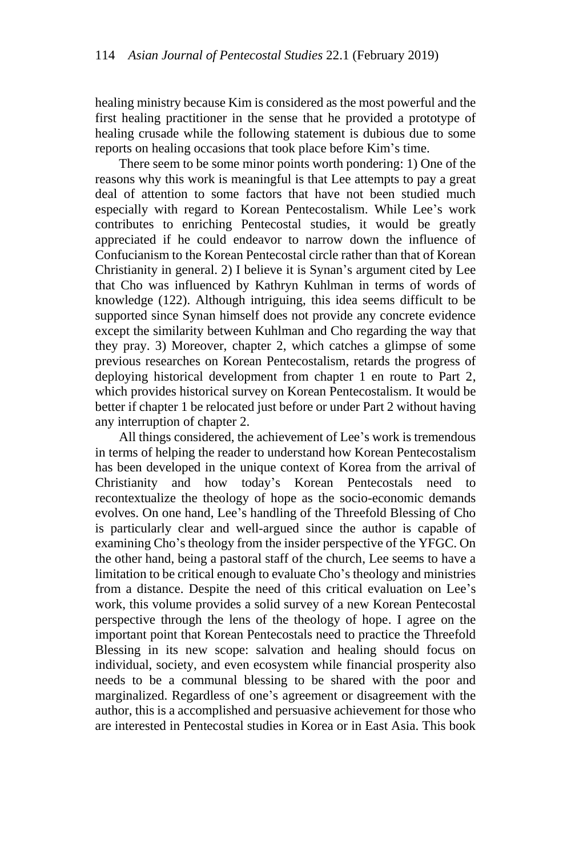healing ministry because Kim is considered as the most powerful and the first healing practitioner in the sense that he provided a prototype of healing crusade while the following statement is dubious due to some reports on healing occasions that took place before Kim's time.

There seem to be some minor points worth pondering: 1) One of the reasons why this work is meaningful is that Lee attempts to pay a great deal of attention to some factors that have not been studied much especially with regard to Korean Pentecostalism. While Lee's work contributes to enriching Pentecostal studies, it would be greatly appreciated if he could endeavor to narrow down the influence of Confucianism to the Korean Pentecostal circle rather than that of Korean Christianity in general. 2) I believe it is Synan's argument cited by Lee that Cho was influenced by Kathryn Kuhlman in terms of words of knowledge (122). Although intriguing, this idea seems difficult to be supported since Synan himself does not provide any concrete evidence except the similarity between Kuhlman and Cho regarding the way that they pray. 3) Moreover, chapter 2, which catches a glimpse of some previous researches on Korean Pentecostalism, retards the progress of deploying historical development from chapter 1 en route to Part 2, which provides historical survey on Korean Pentecostalism. It would be better if chapter 1 be relocated just before or under Part 2 without having any interruption of chapter 2.

All things considered, the achievement of Lee's work is tremendous in terms of helping the reader to understand how Korean Pentecostalism has been developed in the unique context of Korea from the arrival of Christianity and how today's Korean Pentecostals need to recontextualize the theology of hope as the socio-economic demands evolves. On one hand, Lee's handling of the Threefold Blessing of Cho is particularly clear and well-argued since the author is capable of examining Cho's theology from the insider perspective of the YFGC. On the other hand, being a pastoral staff of the church, Lee seems to have a limitation to be critical enough to evaluate Cho's theology and ministries from a distance. Despite the need of this critical evaluation on Lee's work, this volume provides a solid survey of a new Korean Pentecostal perspective through the lens of the theology of hope. I agree on the important point that Korean Pentecostals need to practice the Threefold Blessing in its new scope: salvation and healing should focus on individual, society, and even ecosystem while financial prosperity also needs to be a communal blessing to be shared with the poor and marginalized. Regardless of one's agreement or disagreement with the author, this is a accomplished and persuasive achievement for those who are interested in Pentecostal studies in Korea or in East Asia. This book